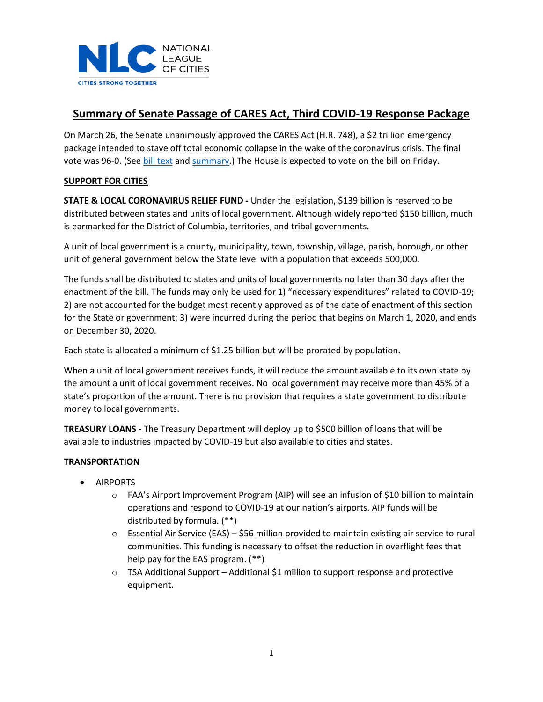

# **Summary of Senate Passage of CARES Act, Third COVID-19 Response Package**

On March 26, the Senate unanimously approved the CARES Act (H.R. 748), a \$2 trillion emergency package intended to stave off total economic collapse in the wake of the coronavirus crisis. The final vote was 96-0. (Se[e bill text](https://www.nlc.org/sites/default/files/users/user52651/HEN20309%20(002).pdf) and [summary.](https://www.nlc.org/sites/default/files/users/user52651/Keeping%20American%20Workers%20Employed%20and%20Paid%20Act_Section-by-Section-%203-25-20%20(1).pdf)) The House is expected to vote on the bill on Friday.

# **SUPPORT FOR CITIES**

**STATE & LOCAL CORONAVIRUS RELIEF FUND -** Under the legislation, \$139 billion is reserved to be distributed between states and units of local government. Although widely reported \$150 billion, much is earmarked for the District of Columbia, territories, and tribal governments.

A unit of local government is a county, municipality, town, township, village, parish, borough, or other unit of general government below the State level with a population that exceeds 500,000.

The funds shall be distributed to states and units of local governments no later than 30 days after the enactment of the bill. The funds may only be used for 1) "necessary expenditures" related to COVID-19; 2) are not accounted for the budget most recently approved as of the date of enactment of this section for the State or government; 3) were incurred during the period that begins on March 1, 2020, and ends on December 30, 2020.

Each state is allocated a minimum of \$1.25 billion but will be prorated by population.

When a unit of local government receives funds, it will reduce the amount available to its own state by the amount a unit of local government receives. No local government may receive more than 45% of a state's proportion of the amount. There is no provision that requires a state government to distribute money to local governments.

**TREASURY LOANS -** The Treasury Department will deploy up to \$500 billion of loans that will be available to industries impacted by COVID-19 but also available to cities and states.

# **TRANSPORTATION**

- AIRPORTS
	- o FAA's Airport Improvement Program (AIP) will see an infusion of \$10 billion to maintain operations and respond to COVID-19 at our nation's airports. AIP funds will be distributed by formula. (\*\*)
	- $\circ$  Essential Air Service (EAS) \$56 million provided to maintain existing air service to rural communities. This funding is necessary to offset the reduction in overflight fees that help pay for the EAS program. (\*\*)
	- $\circ$  TSA Additional Support Additional \$1 million to support response and protective equipment.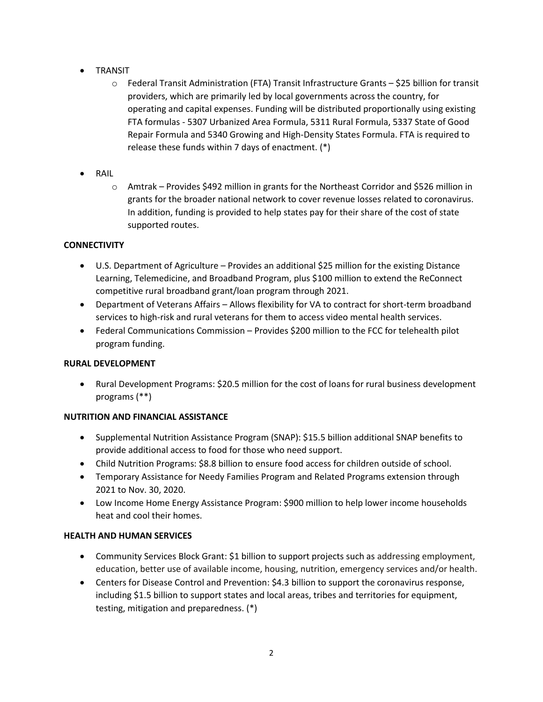- TRANSIT
	- o Federal Transit Administration (FTA) Transit Infrastructure Grants \$25 billion for transit providers, which are primarily led by local governments across the country, for operating and capital expenses. Funding will be distributed proportionally using existing FTA formulas - 5307 Urbanized Area Formula, 5311 Rural Formula, 5337 State of Good Repair Formula and 5340 Growing and High-Density States Formula. FTA is required to release these funds within 7 days of enactment. (\*)
- RAIL
	- o Amtrak Provides \$492 million in grants for the Northeast Corridor and \$526 million in grants for the broader national network to cover revenue losses related to coronavirus. In addition, funding is provided to help states pay for their share of the cost of state supported routes.

# **CONNECTIVITY**

- U.S. Department of Agriculture Provides an additional \$25 million for the existing Distance Learning, Telemedicine, and Broadband Program, plus \$100 million to extend the ReConnect competitive rural broadband grant/loan program through 2021.
- Department of Veterans Affairs Allows flexibility for VA to contract for short-term broadband services to high-risk and rural veterans for them to access video mental health services.
- Federal Communications Commission Provides \$200 million to the FCC for telehealth pilot program funding.

# **RURAL DEVELOPMENT**

• Rural Development Programs: \$20.5 million for the cost of loans for rural business development programs (\*\*)

# **NUTRITION AND FINANCIAL ASSISTANCE**

- Supplemental Nutrition Assistance Program (SNAP): \$15.5 billion additional SNAP benefits to provide additional access to food for those who need support.
- Child Nutrition Programs: \$8.8 billion to ensure food access for children outside of school.
- Temporary Assistance for Needy Families Program and Related Programs extension through 2021 to Nov. 30, 2020.
- Low Income Home Energy Assistance Program: \$900 million to help lower income households heat and cool their homes.

# **HEALTH AND HUMAN SERVICES**

- Community Services Block Grant: \$1 billion to support projects such as addressing employment, education, better use of available income, housing, nutrition, emergency services and/or health.
- Centers for Disease Control and Prevention: \$4.3 billion to support the coronavirus response, including \$1.5 billion to support states and local areas, tribes and territories for equipment, testing, mitigation and preparedness. (\*)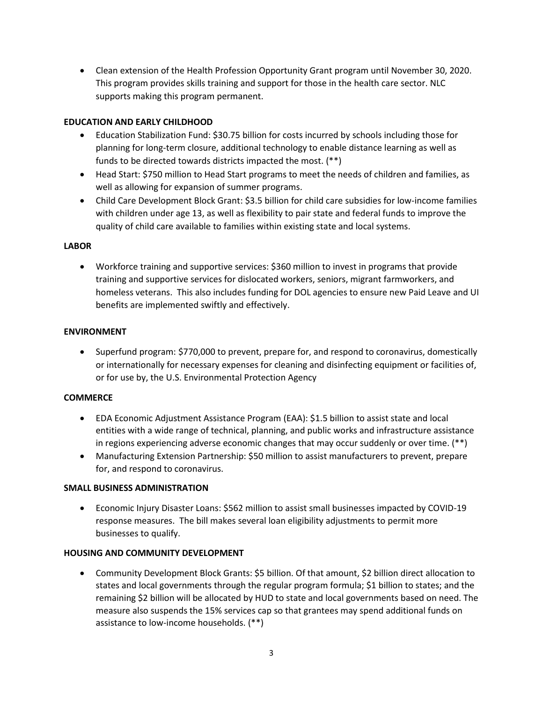• Clean extension of the Health Profession Opportunity Grant program until November 30, 2020. This program provides skills training and support for those in the health care sector. NLC supports making this program permanent.

# **EDUCATION AND EARLY CHILDHOOD**

- Education Stabilization Fund: \$30.75 billion for costs incurred by schools including those for planning for long-term closure, additional technology to enable distance learning as well as funds to be directed towards districts impacted the most. (\*\*)
- Head Start: \$750 million to Head Start programs to meet the needs of children and families, as well as allowing for expansion of summer programs.
- Child Care Development Block Grant: \$3.5 billion for child care subsidies for low-income families with children under age 13, as well as flexibility to pair state and federal funds to improve the quality of child care available to families within existing state and local systems.

# **LABOR**

• Workforce training and supportive services: \$360 million to invest in programs that provide training and supportive services for dislocated workers, seniors, migrant farmworkers, and homeless veterans. This also includes funding for DOL agencies to ensure new Paid Leave and UI benefits are implemented swiftly and effectively.

### **ENVIRONMENT**

• Superfund program: \$770,000 to prevent, prepare for, and respond to coronavirus, domestically or internationally for necessary expenses for cleaning and disinfecting equipment or facilities of, or for use by, the U.S. Environmental Protection Agency

#### **COMMERCE**

- EDA Economic Adjustment Assistance Program (EAA): \$1.5 billion to assist state and local entities with a wide range of technical, planning, and public works and infrastructure assistance in regions experiencing adverse economic changes that may occur suddenly or over time. (\*\*)
- Manufacturing Extension Partnership: \$50 million to assist manufacturers to prevent, prepare for, and respond to coronavirus.

### **SMALL BUSINESS ADMINISTRATION**

• Economic Injury Disaster Loans: \$562 million to assist small businesses impacted by COVID-19 response measures. The bill makes several loan eligibility adjustments to permit more businesses to qualify.

# **HOUSING AND COMMUNITY DEVELOPMENT**

• Community Development Block Grants: \$5 billion. Of that amount, \$2 billion direct allocation to states and local governments through the regular program formula; \$1 billion to states; and the remaining \$2 billion will be allocated by HUD to state and local governments based on need. The measure also suspends the 15% services cap so that grantees may spend additional funds on assistance to low-income households. (\*\*)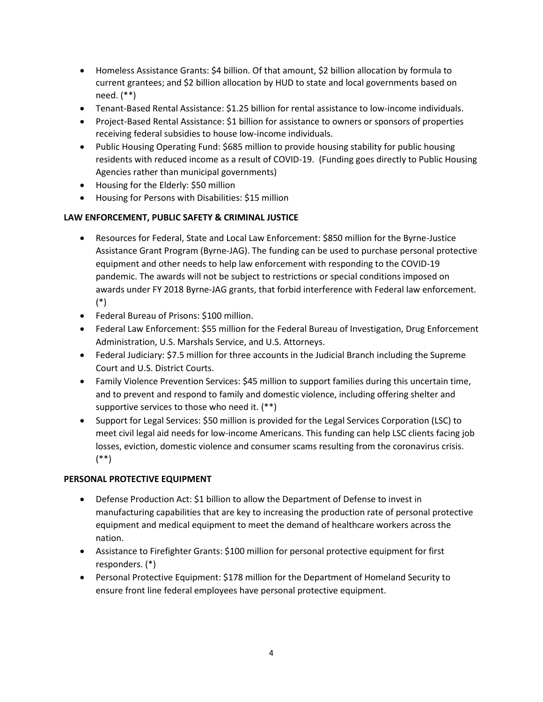- Homeless Assistance Grants: \$4 billion. Of that amount, \$2 billion allocation by formula to current grantees; and \$2 billion allocation by HUD to state and local governments based on need. (\*\*)
- Tenant-Based Rental Assistance: \$1.25 billion for rental assistance to low-income individuals.
- Project-Based Rental Assistance: \$1 billion for assistance to owners or sponsors of properties receiving federal subsidies to house low-income individuals.
- Public Housing Operating Fund: \$685 million to provide housing stability for public housing residents with reduced income as a result of COVID-19. (Funding goes directly to Public Housing Agencies rather than municipal governments)
- Housing for the Elderly: \$50 million
- Housing for Persons with Disabilities: \$15 million

# **LAW ENFORCEMENT, PUBLIC SAFETY & CRIMINAL JUSTICE**

- Resources for Federal, State and Local Law Enforcement: \$850 million for the Byrne-Justice Assistance Grant Program (Byrne-JAG). The funding can be used to purchase personal protective equipment and other needs to help law enforcement with responding to the COVID-19 pandemic. The awards will not be subject to restrictions or special conditions imposed on awards under FY 2018 Byrne-JAG grants, that forbid interference with Federal law enforcement. (\*)
- Federal Bureau of Prisons: \$100 million.
- Federal Law Enforcement: \$55 million for the Federal Bureau of Investigation, Drug Enforcement Administration, U.S. Marshals Service, and U.S. Attorneys.
- Federal Judiciary: \$7.5 million for three accounts in the Judicial Branch including the Supreme Court and U.S. District Courts.
- Family Violence Prevention Services: \$45 million to support families during this uncertain time, and to prevent and respond to family and domestic violence, including offering shelter and supportive services to those who need it. (\*\*)
- Support for Legal Services: \$50 million is provided for the Legal Services Corporation (LSC) to meet civil legal aid needs for low-income Americans. This funding can help LSC clients facing job losses, eviction, domestic violence and consumer scams resulting from the coronavirus crisis. (\*\*)

# **PERSONAL PROTECTIVE EQUIPMENT**

- Defense Production Act: \$1 billion to allow the Department of Defense to invest in manufacturing capabilities that are key to increasing the production rate of personal protective equipment and medical equipment to meet the demand of healthcare workers across the nation.
- Assistance to Firefighter Grants: \$100 million for personal protective equipment for first responders. (\*)
- Personal Protective Equipment: \$178 million for the Department of Homeland Security to ensure front line federal employees have personal protective equipment.